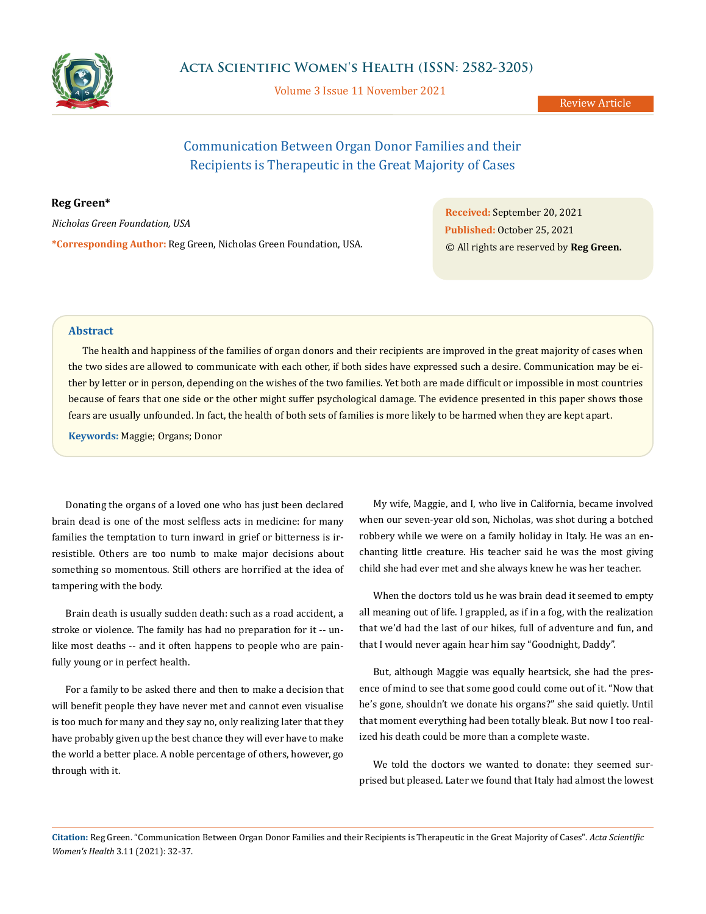

Volume 3 Issue 11 November 2021

Review Article

# Communication Between Organ Donor Families and their Recipients is Therapeutic in the Great Majority of Cases

## **Reg Green\***

*Nicholas Green Foundation, USA* **\*Corresponding Author:** Reg Green, Nicholas Green Foundation, USA. **Received:** September 20, 2021 **Published:** October 25, 2021 © All rights are reserved by **Reg Green.**

## **Abstract**

The health and happiness of the families of organ donors and their recipients are improved in the great majority of cases when the two sides are allowed to communicate with each other, if both sides have expressed such a desire. Communication may be either by letter or in person, depending on the wishes of the two families. Yet both are made difficult or impossible in most countries because of fears that one side or the other might suffer psychological damage. The evidence presented in this paper shows those fears are usually unfounded. In fact, the health of both sets of families is more likely to be harmed when they are kept apart.

**Keywords:** Maggie; Organs; Donor

Donating the organs of a loved one who has just been declared brain dead is one of the most selfless acts in medicine: for many families the temptation to turn inward in grief or bitterness is irresistible. Others are too numb to make major decisions about something so momentous. Still others are horrified at the idea of tampering with the body.

Brain death is usually sudden death: such as a road accident, a stroke or violence. The family has had no preparation for it -- unlike most deaths -- and it often happens to people who are painfully young or in perfect health.

For a family to be asked there and then to make a decision that will benefit people they have never met and cannot even visualise is too much for many and they say no, only realizing later that they have probably given up the best chance they will ever have to make the world a better place. A noble percentage of others, however, go through with it.

My wife, Maggie, and I, who live in California, became involved when our seven-year old son, Nicholas, was shot during a botched robbery while we were on a family holiday in Italy. He was an enchanting little creature. His teacher said he was the most giving child she had ever met and she always knew he was her teacher.

When the doctors told us he was brain dead it seemed to empty all meaning out of life. I grappled, as if in a fog, with the realization that we'd had the last of our hikes, full of adventure and fun, and that I would never again hear him say "Goodnight, Daddy".

But, although Maggie was equally heartsick, she had the presence of mind to see that some good could come out of it. "Now that he's gone, shouldn't we donate his organs?" she said quietly. Until that moment everything had been totally bleak. But now I too realized his death could be more than a complete waste.

We told the doctors we wanted to donate: they seemed surprised but pleased. Later we found that Italy had almost the lowest

**Citation:** Reg Green. "Communication Between Organ Donor Families and their Recipients is Therapeutic in the Great Majority of Cases". *Acta Scientific Women's Health* 3.11 (2021): 32-37.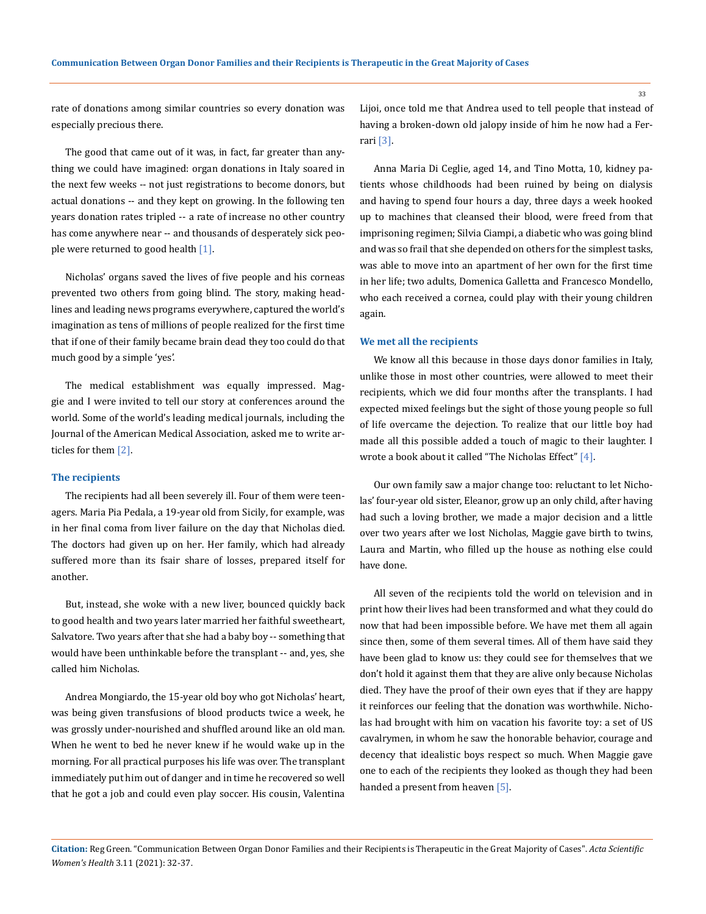rate of donations among similar countries so every donation was especially precious there.

The good that came out of it was, in fact, far greater than anything we could have imagined: organ donations in Italy soared in the next few weeks -- not just registrations to become donors, but actual donations -- and they kept on growing. In the following ten years donation rates tripled -- a rate of increase no other country has come anywhere near -- and thousands of desperately sick people were returned to good health  $[1]$ .

Nicholas' organs saved the lives of five people and his corneas prevented two others from going blind. The story, making headlines and leading news programs everywhere, captured the world's imagination as tens of millions of people realized for the first time that if one of their family became brain dead they too could do that much good by a simple 'yes'.

The medical establishment was equally impressed. Maggie and I were invited to tell our story at conferences around the world. Some of the world's leading medical journals, including the Journal of the American Medical Association, asked me to write articles for them [2].

#### **The recipients**

The recipients had all been severely ill. Four of them were teenagers. Maria Pia Pedala, a 19-year old from Sicily, for example, was in her final coma from liver failure on the day that Nicholas died. The doctors had given up on her. Her family, which had already suffered more than its fsair share of losses, prepared itself for another.

But, instead, she woke with a new liver, bounced quickly back to good health and two years later married her faithful sweetheart, Salvatore. Two years after that she had a baby boy -- something that would have been unthinkable before the transplant -- and, yes, she called him Nicholas.

Andrea Mongiardo, the 15-year old boy who got Nicholas' heart, was being given transfusions of blood products twice a week, he was grossly under-nourished and shuffled around like an old man. When he went to bed he never knew if he would wake up in the morning. For all practical purposes his life was over. The transplant immediately put him out of danger and in time he recovered so well that he got a job and could even play soccer. His cousin, Valentina Lijoi, once told me that Andrea used to tell people that instead of having a broken-down old jalopy inside of him he now had a Ferrari [3].

Anna Maria Di Ceglie, aged 14, and Tino Motta, 10, kidney patients whose childhoods had been ruined by being on dialysis and having to spend four hours a day, three days a week hooked up to machines that cleansed their blood, were freed from that imprisoning regimen; Silvia Ciampi, a diabetic who was going blind and was so frail that she depended on others for the simplest tasks, was able to move into an apartment of her own for the first time in her life; two adults, Domenica Galletta and Francesco Mondello, who each received a cornea, could play with their young children again.

#### **We met all the recipients**

We know all this because in those days donor families in Italy, unlike those in most other countries, were allowed to meet their recipients, which we did four months after the transplants. I had expected mixed feelings but the sight of those young people so full of life overcame the dejection. To realize that our little boy had made all this possible added a touch of magic to their laughter. I wrote a book about it called "The Nicholas Effect" [4].

Our own family saw a major change too: reluctant to let Nicholas' four-year old sister, Eleanor, grow up an only child, after having had such a loving brother, we made a major decision and a little over two years after we lost Nicholas, Maggie gave birth to twins, Laura and Martin, who filled up the house as nothing else could have done.

All seven of the recipients told the world on television and in print how their lives had been transformed and what they could do now that had been impossible before. We have met them all again since then, some of them several times. All of them have said they have been glad to know us: they could see for themselves that we don't hold it against them that they are alive only because Nicholas died. They have the proof of their own eyes that if they are happy it reinforces our feeling that the donation was worthwhile. Nicholas had brought with him on vacation his favorite toy: a set of US cavalrymen, in whom he saw the honorable behavior, courage and decency that idealistic boys respect so much. When Maggie gave one to each of the recipients they looked as though they had been handed a present from heaven [5].

**Citation:** Reg Green. "Communication Between Organ Donor Families and their Recipients is Therapeutic in the Great Majority of Cases". *Acta Scientific Women's Health* 3.11 (2021): 32-37.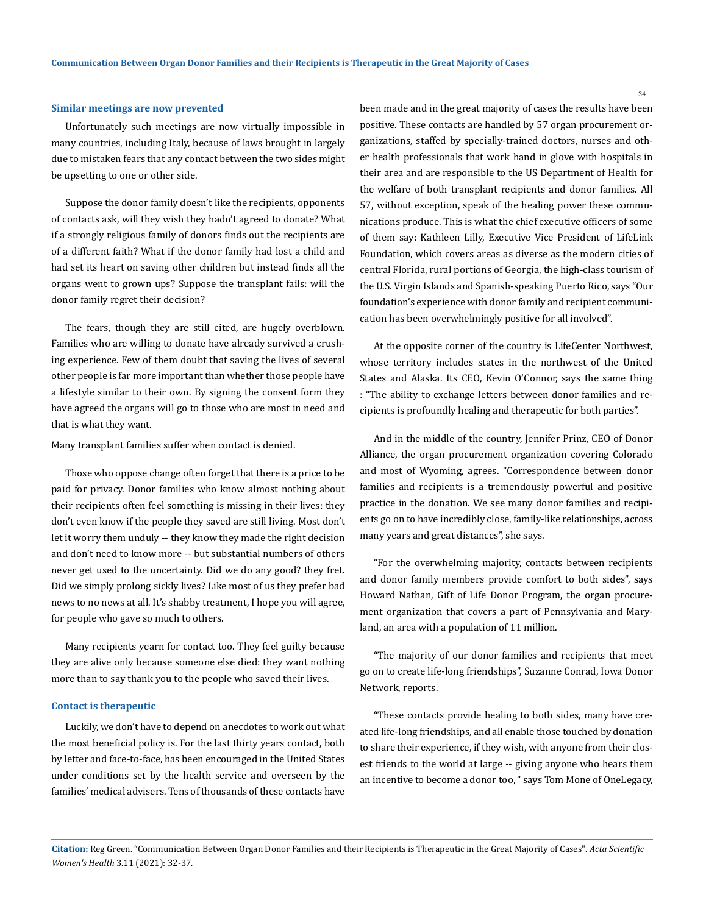#### **Similar meetings are now prevented**

Unfortunately such meetings are now virtually impossible in many countries, including Italy, because of laws brought in largely due to mistaken fears that any contact between the two sides might be upsetting to one or other side.

Suppose the donor family doesn't like the recipients, opponents of contacts ask, will they wish they hadn't agreed to donate? What if a strongly religious family of donors finds out the recipients are of a different faith? What if the donor family had lost a child and had set its heart on saving other children but instead finds all the organs went to grown ups? Suppose the transplant fails: will the donor family regret their decision?

The fears, though they are still cited, are hugely overblown. Families who are willing to donate have already survived a crushing experience. Few of them doubt that saving the lives of several other people is far more important than whether those people have a lifestyle similar to their own. By signing the consent form they have agreed the organs will go to those who are most in need and that is what they want.

Many transplant families suffer when contact is denied.

Those who oppose change often forget that there is a price to be paid for privacy. Donor families who know almost nothing about their recipients often feel something is missing in their lives: they don't even know if the people they saved are still living. Most don't let it worry them unduly -- they know they made the right decision and don't need to know more -- but substantial numbers of others never get used to the uncertainty. Did we do any good? they fret. Did we simply prolong sickly lives? Like most of us they prefer bad news to no news at all. It's shabby treatment, I hope you will agree, for people who gave so much to others.

Many recipients yearn for contact too. They feel guilty because they are alive only because someone else died: they want nothing more than to say thank you to the people who saved their lives.

#### **Contact is therapeutic**

Luckily, we don't have to depend on anecdotes to work out what the most beneficial policy is. For the last thirty years contact, both by letter and face-to-face, has been encouraged in the United States under conditions set by the health service and overseen by the families' medical advisers. Tens of thousands of these contacts have

been made and in the great majority of cases the results have been positive. These contacts are handled by 57 organ procurement organizations, staffed by specially-trained doctors, nurses and other health professionals that work hand in glove with hospitals in their area and are responsible to the US Department of Health for the welfare of both transplant recipients and donor families. All 57, without exception, speak of the healing power these communications produce. This is what the chief executive officers of some of them say: Kathleen Lilly, Executive Vice President of LifeLink Foundation, which covers areas as diverse as the modern cities of central Florida, rural portions of Georgia, the high-class tourism of the U.S. Virgin Islands and Spanish-speaking Puerto Rico, says "Our foundation's experience with donor family and recipient communication has been overwhelmingly positive for all involved".

At the opposite corner of the country is LifeCenter Northwest, whose territory includes states in the northwest of the United States and Alaska. Its CEO, Kevin O'Connor, says the same thing : "The ability to exchange letters between donor families and recipients is profoundly healing and therapeutic for both parties".

And in the middle of the country, Jennifer Prinz, CEO of Donor Alliance, the organ procurement organization covering Colorado and most of Wyoming, agrees. "Correspondence between donor families and recipients is a tremendously powerful and positive practice in the donation. We see many donor families and recipients go on to have incredibly close, family-like relationships, across many years and great distances", she says.

"For the overwhelming majority, contacts between recipients and donor family members provide comfort to both sides", says Howard Nathan, Gift of Life Donor Program, the organ procurement organization that covers a part of Pennsylvania and Maryland, an area with a population of 11 million.

"The majority of our donor families and recipients that meet go on to create life-long friendships", Suzanne Conrad, Iowa Donor Network, reports.

"These contacts provide healing to both sides, many have created life-long friendships, and all enable those touched by donation to share their experience, if they wish, with anyone from their closest friends to the world at large -- giving anyone who hears them an incentive to become a donor too, " says Tom Mone of OneLegacy,

**Citation:** Reg Green. "Communication Between Organ Donor Families and their Recipients is Therapeutic in the Great Majority of Cases". *Acta Scientific Women's Health* 3.11 (2021): 32-37.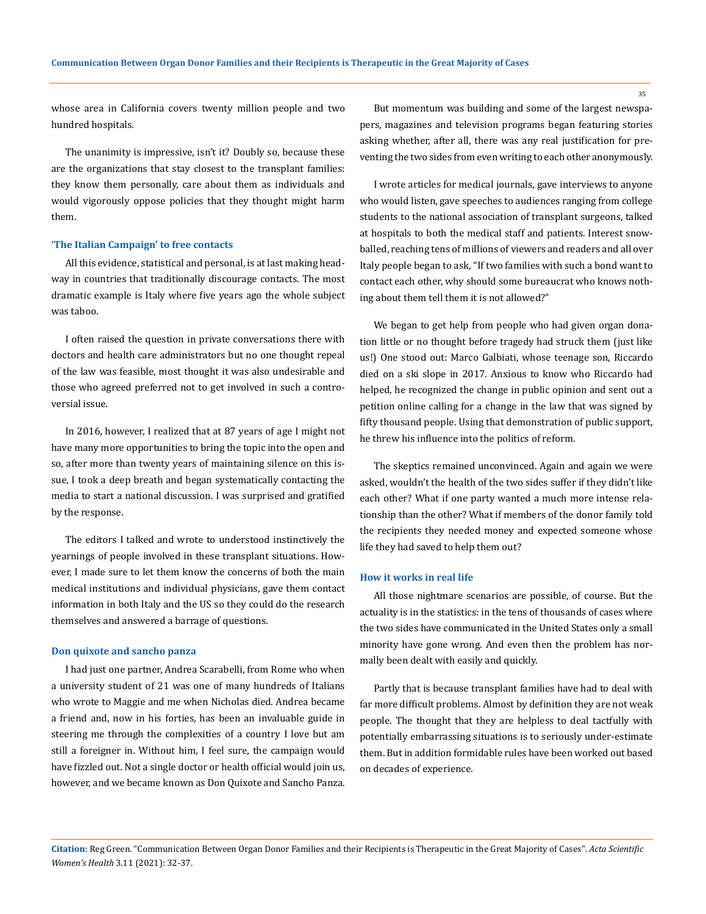whose area in California covers twenty million people and two hundred hospitals.

The unanimity is impressive, isn't it? Doubly so, because these are the organizations that stay closest to the transplant families: they know them personally, care about them as individuals and would vigorously oppose policies that they thought might harm them.

#### **'The Italian Campaign' to free contacts**

All this evidence, statistical and personal, is at last making headway in countries that traditionally discourage contacts. The most dramatic example is Italy where five years ago the whole subject was taboo.

I often raised the question in private conversations there with doctors and health care administrators but no one thought repeal of the law was feasible, most thought it was also undesirable and those who agreed preferred not to get involved in such a controversial issue.

In 2016, however, I realized that at 87 years of age I might not have many more opportunities to bring the topic into the open and so, after more than twenty years of maintaining silence on this issue, I took a deep breath and began systematically contacting the media to start a national discussion. I was surprised and gratified by the response.

The editors I talked and wrote to understood instinctively the yearnings of people involved in these transplant situations. However, I made sure to let them know the concerns of both the main medical institutions and individual physicians, gave them contact information in both Italy and the US so they could do the research themselves and answered a barrage of questions.

#### **Don quixote and sancho panza**

I had just one partner, Andrea Scarabelli, from Rome who when a university student of 21 was one of many hundreds of Italians who wrote to Maggie and me when Nicholas died. Andrea became a friend and, now in his forties, has been an invaluable guide in steering me through the complexities of a country I love but am still a foreigner in. Without him, I feel sure, the campaign would have fizzled out. Not a single doctor or health official would join us, however, and we became known as Don Quixote and Sancho Panza.

But momentum was building and some of the largest newspapers, magazines and television programs began featuring stories asking whether, after all, there was any real justification for preventing the two sides from even writing to each other anonymously.

I wrote articles for medical journals, gave interviews to anyone who would listen, gave speeches to audiences ranging from college students to the national association of transplant surgeons, talked at hospitals to both the medical staff and patients. Interest snowballed, reaching tens of millions of viewers and readers and all over Italy people began to ask, "If two families with such a bond want to contact each other, why should some bureaucrat who knows nothing about them tell them it is not allowed?"

We began to get help from people who had given organ donation little or no thought before tragedy had struck them (just like us!) One stood out: Marco Galbiati, whose teenage son, Riccardo died on a ski slope in 2017. Anxious to know who Riccardo had helped, he recognized the change in public opinion and sent out a petition online calling for a change in the law that was signed by fifty thousand people. Using that demonstration of public support, he threw his influence into the politics of reform.

The skeptics remained unconvinced. Again and again we were asked, wouldn't the health of the two sides suffer if they didn't like each other? What if one party wanted a much more intense relationship than the other? What if members of the donor family told the recipients they needed money and expected someone whose life they had saved to help them out?

#### **How it works in real life**

All those nightmare scenarios are possible, of course. But the actuality is in the statistics: in the tens of thousands of cases where the two sides have communicated in the United States only a small minority have gone wrong. And even then the problem has normally been dealt with easily and quickly.

Partly that is because transplant families have had to deal with far more difficult problems. Almost by definition they are not weak people. The thought that they are helpless to deal tactfully with potentially embarrassing situations is to seriously under-estimate them. But in addition formidable rules have been worked out based on decades of experience.

**Citation:** Reg Green. "Communication Between Organ Donor Families and their Recipients is Therapeutic in the Great Majority of Cases". *Acta Scientific Women's Health* 3.11 (2021): 32-37.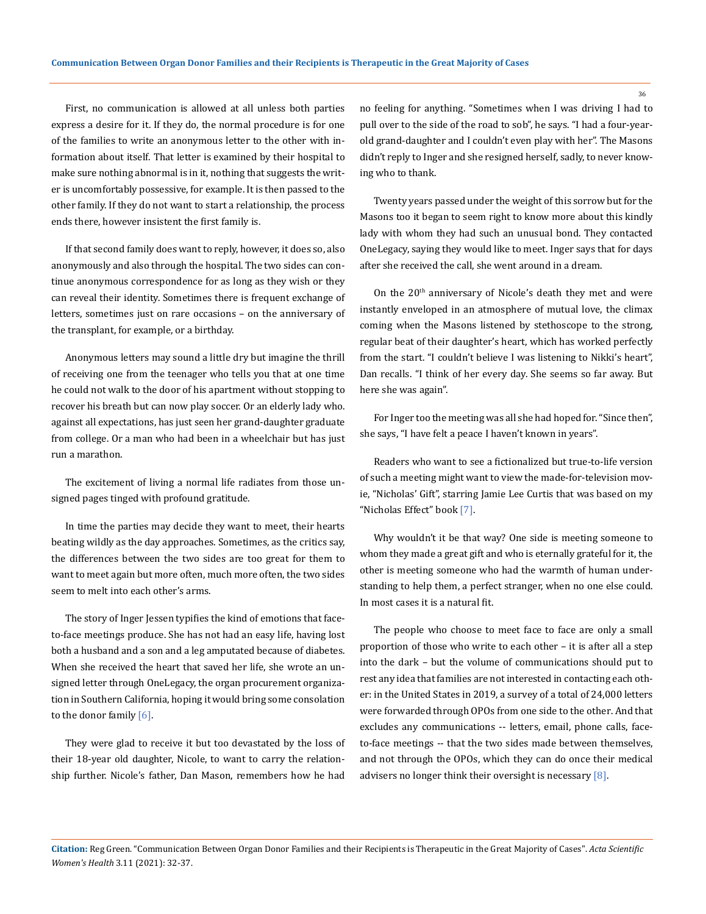First, no communication is allowed at all unless both parties express a desire for it. If they do, the normal procedure is for one of the families to write an anonymous letter to the other with information about itself. That letter is examined by their hospital to make sure nothing abnormal is in it, nothing that suggests the writer is uncomfortably possessive, for example. It is then passed to the other family. If they do not want to start a relationship, the process ends there, however insistent the first family is.

If that second family does want to reply, however, it does so, also anonymously and also through the hospital. The two sides can continue anonymous correspondence for as long as they wish or they can reveal their identity. Sometimes there is frequent exchange of letters, sometimes just on rare occasions – on the anniversary of the transplant, for example, or a birthday.

Anonymous letters may sound a little dry but imagine the thrill of receiving one from the teenager who tells you that at one time he could not walk to the door of his apartment without stopping to recover his breath but can now play soccer. Or an elderly lady who. against all expectations, has just seen her grand-daughter graduate from college. Or a man who had been in a wheelchair but has just run a marathon.

The excitement of living a normal life radiates from those unsigned pages tinged with profound gratitude.

In time the parties may decide they want to meet, their hearts beating wildly as the day approaches. Sometimes, as the critics say, the differences between the two sides are too great for them to want to meet again but more often, much more often, the two sides seem to melt into each other's arms.

The story of Inger Jessen typifies the kind of emotions that faceto-face meetings produce. She has not had an easy life, having lost both a husband and a son and a leg amputated because of diabetes. When she received the heart that saved her life, she wrote an unsigned letter through OneLegacy, the organ procurement organization in Southern California, hoping it would bring some consolation to the donor family [6].

They were glad to receive it but too devastated by the loss of their 18-year old daughter, Nicole, to want to carry the relationship further. Nicole's father, Dan Mason, remembers how he had

no feeling for anything. "Sometimes when I was driving I had to pull over to the side of the road to sob", he says. "I had a four-yearold grand-daughter and I couldn't even play with her". The Masons didn't reply to Inger and she resigned herself, sadly, to never knowing who to thank.

Twenty years passed under the weight of this sorrow but for the Masons too it began to seem right to know more about this kindly lady with whom they had such an unusual bond. They contacted OneLegacy, saying they would like to meet. Inger says that for days after she received the call, she went around in a dream.

On the 20<sup>th</sup> anniversary of Nicole's death they met and were instantly enveloped in an atmosphere of mutual love, the climax coming when the Masons listened by stethoscope to the strong, regular beat of their daughter's heart, which has worked perfectly from the start. "I couldn't believe I was listening to Nikki's heart", Dan recalls. "I think of her every day. She seems so far away. But here she was again".

For Inger too the meeting was all she had hoped for. "Since then", she says, "I have felt a peace I haven't known in years".

Readers who want to see a fictionalized but true-to-life version of such a meeting might want to view the made-for-television movie, "Nicholas' Gift", starring Jamie Lee Curtis that was based on my "Nicholas Effect" book [7].

Why wouldn't it be that way? One side is meeting someone to whom they made a great gift and who is eternally grateful for it, the other is meeting someone who had the warmth of human understanding to help them, a perfect stranger, when no one else could. In most cases it is a natural fit.

The people who choose to meet face to face are only a small proportion of those who write to each other – it is after all a step into the dark – but the volume of communications should put to rest any idea that families are not interested in contacting each other: in the United States in 2019, a survey of a total of 24,000 letters were forwarded through OPOs from one side to the other. And that excludes any communications -- letters, email, phone calls, faceto-face meetings -- that the two sides made between themselves, and not through the OPOs, which they can do once their medical advisers no longer think their oversight is necessary [8].

**Citation:** Reg Green. "Communication Between Organ Donor Families and their Recipients is Therapeutic in the Great Majority of Cases". *Acta Scientific Women's Health* 3.11 (2021): 32-37.